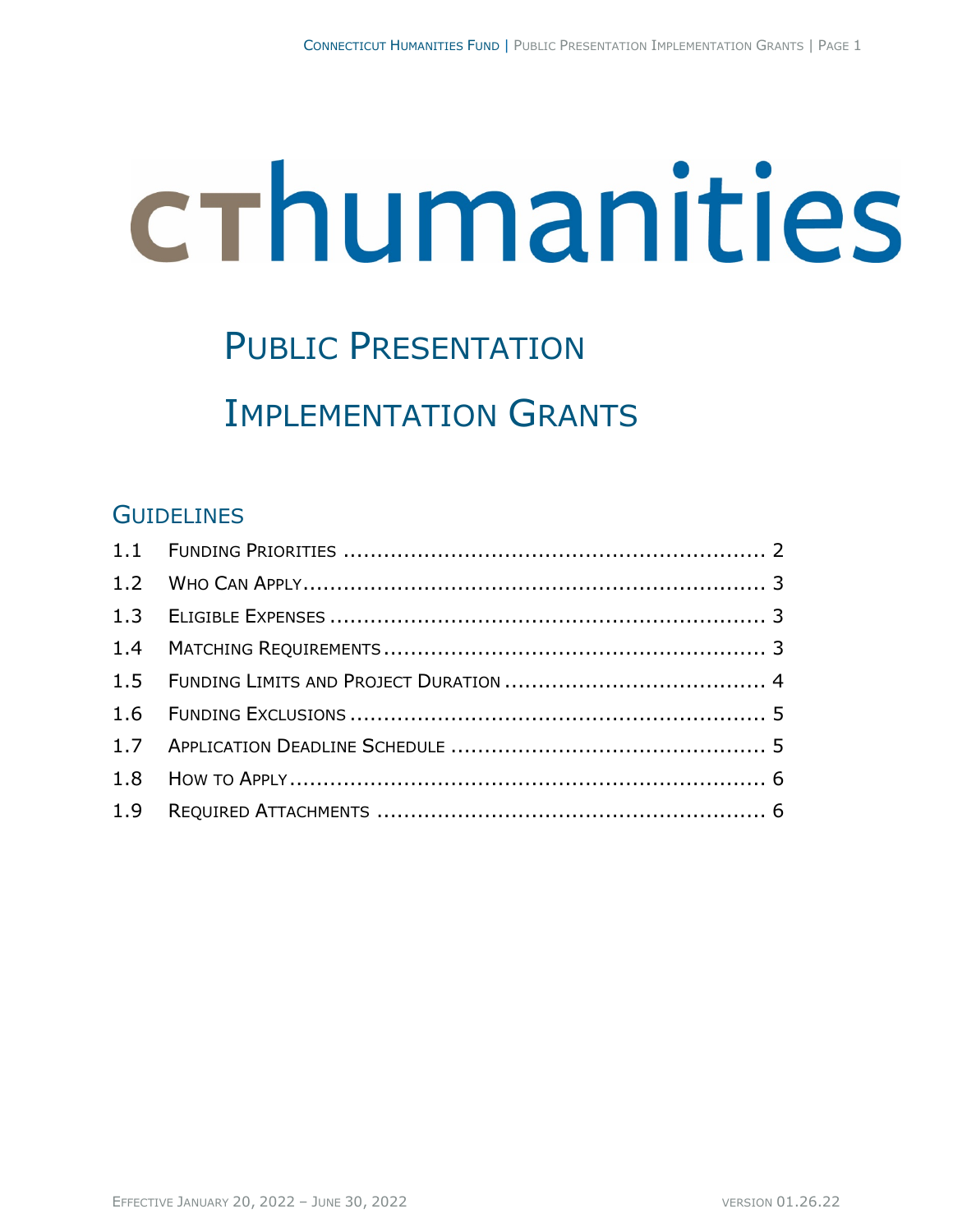# crhumanities

# PUBLIC PRESENTATION IMPLEMENTATION GRANTS

### **GUIDELINES**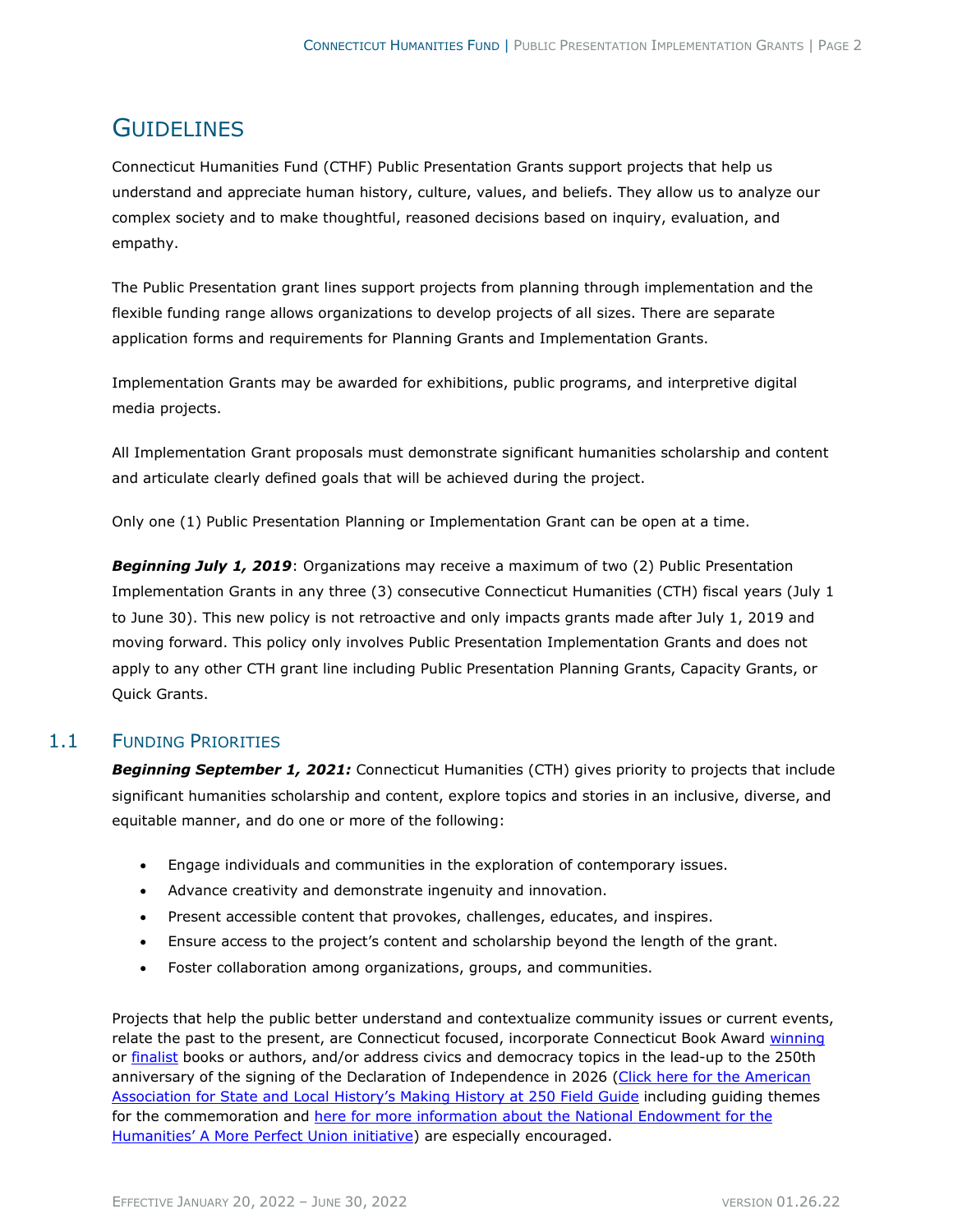## **GUIDELINES**

Connecticut Humanities Fund (CTHF) Public Presentation Grants support projects that help us understand and appreciate human history, culture, values, and beliefs. They allow us to analyze our complex society and to make thoughtful, reasoned decisions based on inquiry, evaluation, and empathy.

The Public Presentation grant lines support projects from planning through implementation and the flexible funding range allows organizations to develop projects of all sizes. There are separate application forms and requirements for Planning Grants and Implementation Grants.

Implementation Grants may be awarded for exhibitions, public programs, and interpretive digital media projects.

All Implementation Grant proposals must demonstrate significant humanities scholarship and content and articulate clearly defined goals that will be achieved during the project.

Only one (1) Public Presentation Planning or Implementation Grant can be open at a time.

*Beginning July 1, 2019*: Organizations may receive a maximum of two (2) Public Presentation Implementation Grants in any three (3) consecutive Connecticut Humanities (CTH) fiscal years (July 1 to June 30). This new policy is not retroactive and only impacts grants made after July 1, 2019 and moving forward. This policy only involves Public Presentation Implementation Grants and does not apply to any other CTH grant line including Public Presentation Planning Grants, Capacity Grants, or Quick Grants.

#### 1.1 FUNDING PRIORITIES

**Beginning September 1, 2021:** Connecticut Humanities (CTH) gives priority to projects that include significant humanities scholarship and content, explore topics and stories in an inclusive, diverse, and equitable manner, and do one or more of the following:

- Engage individuals and communities in the exploration of contemporary issues.
- Advance creativity and demonstrate ingenuity and innovation.
- Present accessible content that provokes, challenges, educates, and inspires.
- Ensure access to the project's content and scholarship beyond the length of the grant.
- Foster collaboration among organizations, groups, and communities.

Projects that help the public better understand and contextualize community issues or current events, relate the past to the present, are Connecticut focused, incorporate Connecticut Book Award [winning](https://ctcenterforthebook.org/2020-connecticut-book-awards-winners/) or [finalist](https://ctcenterforthebook.org/2020-ct-book-awards-finalists/) books or authors, and/or address civics and democracy topics in the lead-up to the 250th anniversary of the signing of the Declaration of Independence in 2026 (Click here for the American [Association for State and Local History's Making History at 250 Field Guide](http://download.aaslh.org/Making+History+at+250+Field+Guide.pdf?fbclid=IwAR3CPaz2dEKotEUcRZ4pTrhH_7ZmMlN_qXmRahsL5Z8jc-q1FKXv0DGxCfE) including guiding themes for the commemoration and [here for more information about the National Endowment for the](https://www.neh.gov/250)  [Humanities' A More Perfect Union initiative\)](https://www.neh.gov/250) are especially encouraged.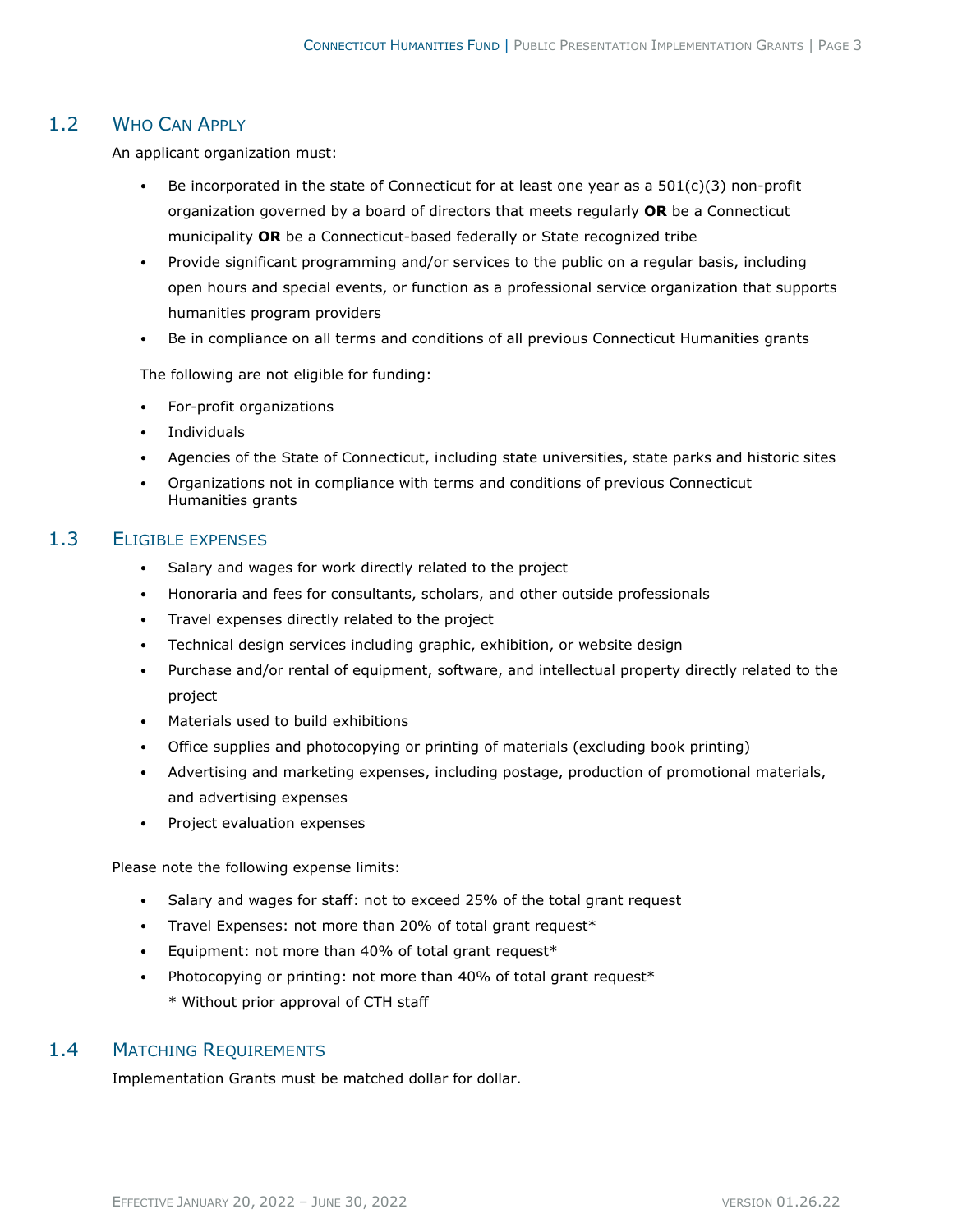#### 1.2 WHO CAN APPLY

An applicant organization must:

- Be incorporated in the state of Connecticut for at least one year as a  $501(c)(3)$  non-profit organization governed by a board of directors that meets regularly **OR** be a Connecticut municipality **OR** be a Connecticut-based federally or State recognized tribe
- Provide significant programming and/or services to the public on a regular basis, including open hours and special events, or function as a professional service organization that supports humanities program providers
- Be in compliance on all terms and conditions of all previous Connecticut Humanities grants

The following are not eligible for funding:

- For-profit organizations
- Individuals
- Agencies of the State of Connecticut, including state universities, state parks and historic sites
- Organizations not in compliance with terms and conditions of previous Connecticut Humanities grants

#### 1.3 ELIGIBLE EXPENSES

- Salary and wages for work directly related to the project
- Honoraria and fees for consultants, scholars, and other outside professionals
- Travel expenses directly related to the project
- Technical design services including graphic, exhibition, or website design
- Purchase and/or rental of equipment, software, and intellectual property directly related to the project
- Materials used to build exhibitions
- Office supplies and photocopying or printing of materials (excluding book printing)
- Advertising and marketing expenses, including postage, production of promotional materials, and advertising expenses
- Project evaluation expenses

Please note the following expense limits:

- Salary and wages for staff: not to exceed 25% of the total grant request
- Travel Expenses: not more than 20% of total grant request\*
- Equipment: not more than 40% of total grant request\*
- Photocopying or printing: not more than 40% of total grant request\* \* Without prior approval of CTH staff

#### 1.4 MATCHING REQUIREMENTS

Implementation Grants must be matched dollar for dollar.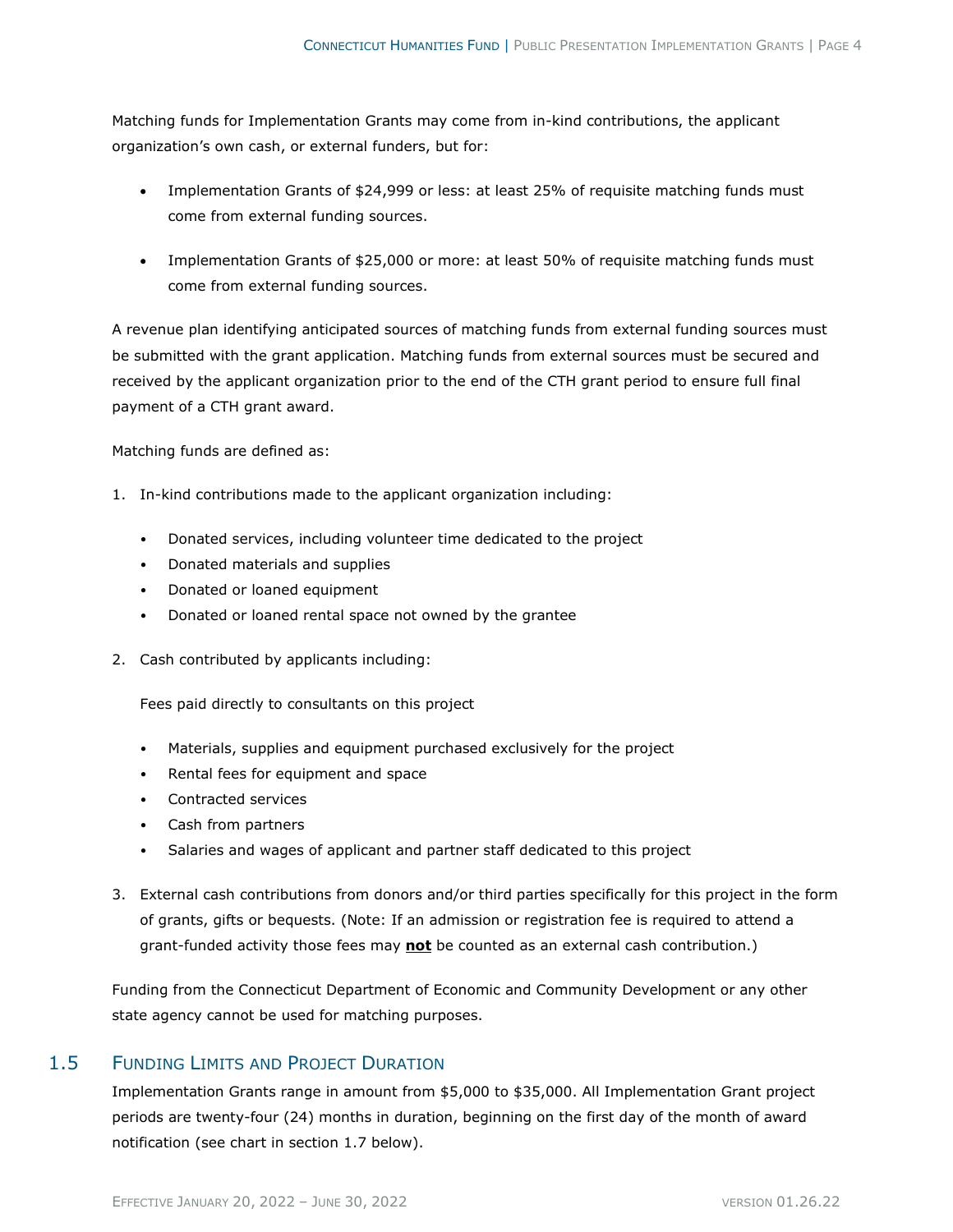Matching funds for Implementation Grants may come from in-kind contributions, the applicant organization's own cash, or external funders, but for:

- Implementation Grants of \$24,999 or less: at least 25% of requisite matching funds must come from external funding sources.
- Implementation Grants of \$25,000 or more: at least 50% of requisite matching funds must come from external funding sources.

A revenue plan identifying anticipated sources of matching funds from external funding sources must be submitted with the grant application. Matching funds from external sources must be secured and received by the applicant organization prior to the end of the CTH grant period to ensure full final payment of a CTH grant award.

Matching funds are defined as:

- 1. In-kind contributions made to the applicant organization including:
	- Donated services, including volunteer time dedicated to the project
	- Donated materials and supplies
	- Donated or loaned equipment
	- Donated or loaned rental space not owned by the grantee
- 2. Cash contributed by applicants including:

Fees paid directly to consultants on this project

- Materials, supplies and equipment purchased exclusively for the project
- Rental fees for equipment and space
- Contracted services
- Cash from partners
- Salaries and wages of applicant and partner staff dedicated to this project
- 3. External cash contributions from donors and/or third parties specifically for this project in the form of grants, gifts or bequests. (Note: If an admission or registration fee is required to attend a grant-funded activity those fees may **not** be counted as an external cash contribution.)

Funding from the Connecticut Department of Economic and Community Development or any other state agency cannot be used for matching purposes.

#### 1.5 FUNDING LIMITS AND PROJECT DURATION

Implementation Grants range in amount from \$5,000 to \$35,000. All Implementation Grant project periods are twenty-four (24) months in duration, beginning on the first day of the month of award notification (see chart in section 1.7 below).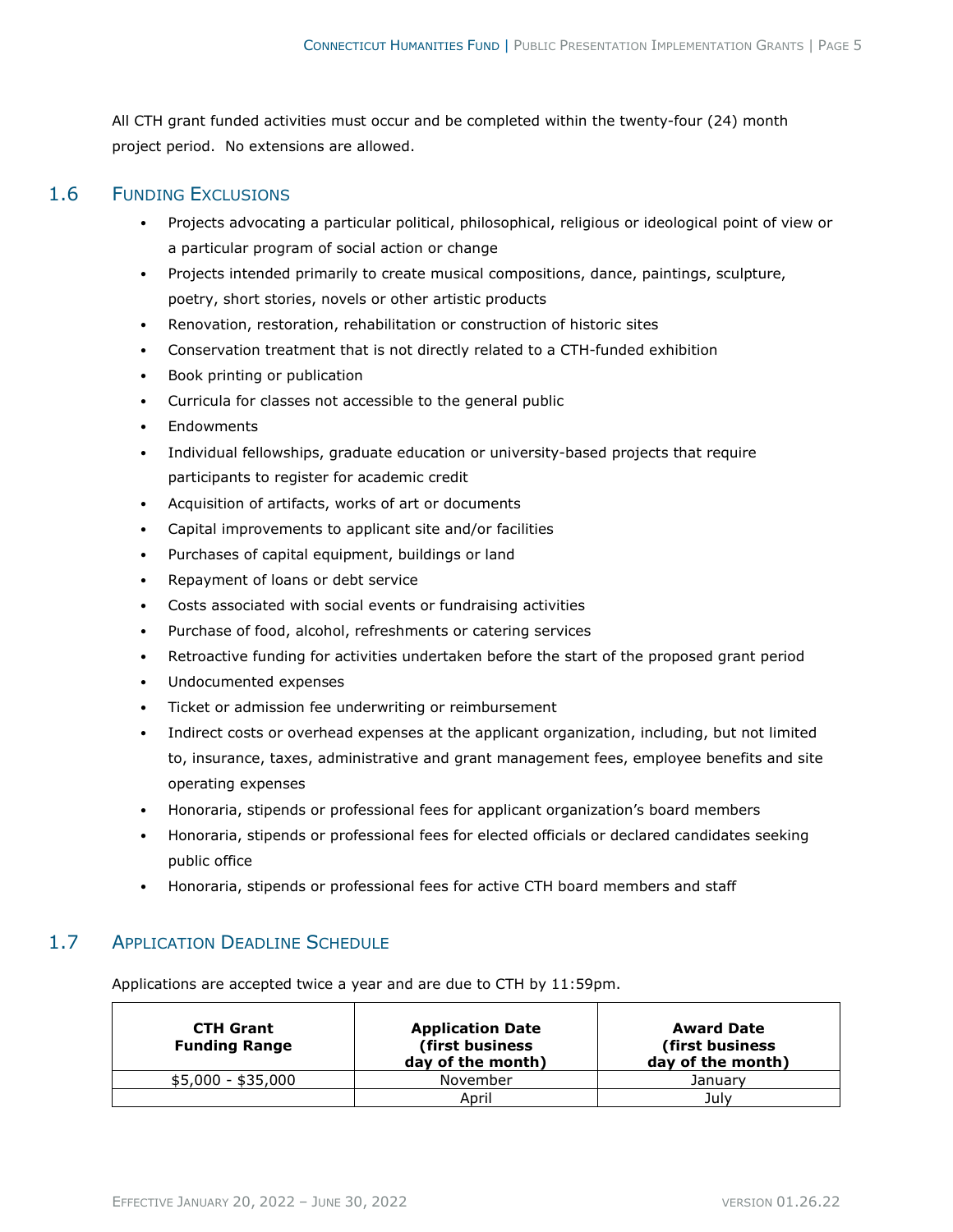All CTH grant funded activities must occur and be completed within the twenty-four (24) month project period. No extensions are allowed.

#### 1.6 FUNDING EXCLUSIONS

- Projects advocating a particular political, philosophical, religious or ideological point of view or a particular program of social action or change
- Projects intended primarily to create musical compositions, dance, paintings, sculpture, poetry, short stories, novels or other artistic products
- Renovation, restoration, rehabilitation or construction of historic sites
- Conservation treatment that is not directly related to a CTH-funded exhibition
- Book printing or publication
- Curricula for classes not accessible to the general public
- Endowments
- Individual fellowships, graduate education or university-based projects that require participants to register for academic credit
- Acquisition of artifacts, works of art or documents
- Capital improvements to applicant site and/or facilities
- Purchases of capital equipment, buildings or land
- Repayment of loans or debt service
- Costs associated with social events or fundraising activities
- Purchase of food, alcohol, refreshments or catering services
- Retroactive funding for activities undertaken before the start of the proposed grant period
- Undocumented expenses
- Ticket or admission fee underwriting or reimbursement
- Indirect costs or overhead expenses at the applicant organization, including, but not limited to, insurance, taxes, administrative and grant management fees, employee benefits and site operating expenses
- Honoraria, stipends or professional fees for applicant organization's board members
- Honoraria, stipends or professional fees for elected officials or declared candidates seeking public office
- Honoraria, stipends or professional fees for active CTH board members and staff

#### 1.7 APPLICATION DEADLINE SCHEDULE

Applications are accepted twice a year and are due to CTH by 11:59pm.

| <b>CTH Grant</b><br><b>Funding Range</b> | <b>Application Date</b><br>(first business)<br>day of the month) | <b>Award Date</b><br>(first business)<br>day of the month) |
|------------------------------------------|------------------------------------------------------------------|------------------------------------------------------------|
| \$5,000 - \$35,000                       | November                                                         | January                                                    |
|                                          | April                                                            | July                                                       |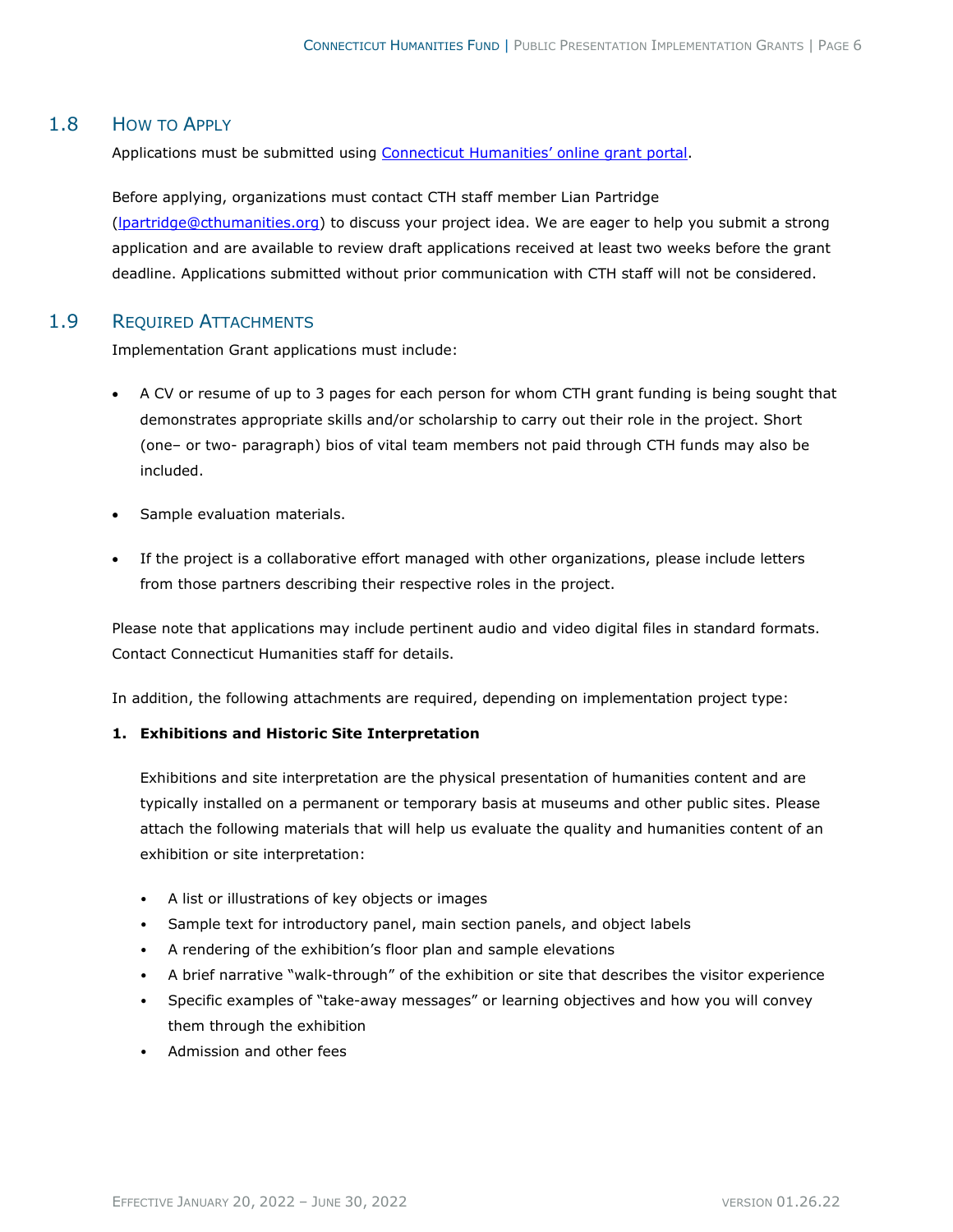#### 1.8 HOW TO APPLY

Applications must be submitted using [Connecticut Humanities' online grant portal.](https://www.grantinterface.com/Home/Logon?urlkey=connecticuthumanities)

Before applying, organizations must contact CTH staff member Lian Partridge [\(lpartridge@cthumanities.org\)](mailto:lpartridge@cthumanities.org) to discuss your project idea. We are eager to help you submit a strong application and are available to review draft applications received at least two weeks before the grant deadline. Applications submitted without prior communication with CTH staff will not be considered.

#### 1.9 REQUIRED ATTACHMENTS

Implementation Grant applications must include:

- A CV or resume of up to 3 pages for each person for whom CTH grant funding is being sought that demonstrates appropriate skills and/or scholarship to carry out their role in the project. Short (one– or two- paragraph) bios of vital team members not paid through CTH funds may also be included.
- Sample evaluation materials.
- If the project is a collaborative effort managed with other organizations, please include letters from those partners describing their respective roles in the project.

Please note that applications may include pertinent audio and video digital files in standard formats. Contact Connecticut Humanities staff for details.

In addition, the following attachments are required, depending on implementation project type:

#### **1. Exhibitions and Historic Site Interpretation**

Exhibitions and site interpretation are the physical presentation of humanities content and are typically installed on a permanent or temporary basis at museums and other public sites. Please attach the following materials that will help us evaluate the quality and humanities content of an exhibition or site interpretation:

- A list or illustrations of key objects or images
- Sample text for introductory panel, main section panels, and object labels
- A rendering of the exhibition's floor plan and sample elevations
- A brief narrative "walk-through" of the exhibition or site that describes the visitor experience
- Specific examples of "take-away messages" or learning objectives and how you will convey them through the exhibition
- Admission and other fees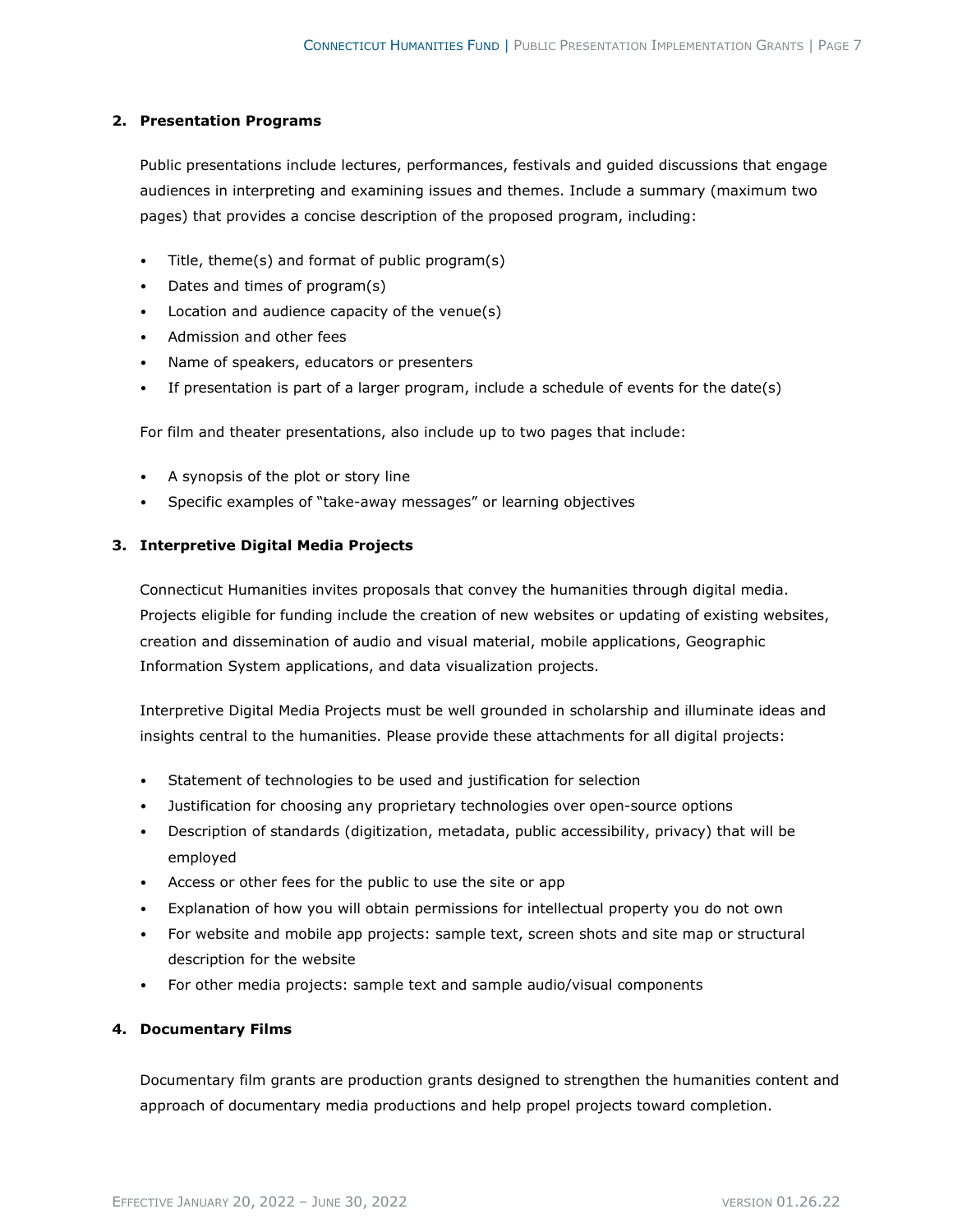#### **2. Presentation Programs**

Public presentations include lectures, performances, festivals and guided discussions that engage audiences in interpreting and examining issues and themes. Include a summary (maximum two pages) that provides a concise description of the proposed program, including:

- Title, theme(s) and format of public program(s)
- Dates and times of program(s)
- Location and audience capacity of the venue(s)
- Admission and other fees
- Name of speakers, educators or presenters
- If presentation is part of a larger program, include a schedule of events for the date(s)

For film and theater presentations, also include up to two pages that include:

- A synopsis of the plot or story line
- Specific examples of "take-away messages" or learning objectives

#### **3. Interpretive Digital Media Projects**

Connecticut Humanities invites proposals that convey the humanities through digital media. Projects eligible for funding include the creation of new websites or updating of existing websites, creation and dissemination of audio and visual material, mobile applications, Geographic Information System applications, and data visualization projects.

Interpretive Digital Media Projects must be well grounded in scholarship and illuminate ideas and insights central to the humanities. Please provide these attachments for all digital projects:

- Statement of technologies to be used and justification for selection
- Justification for choosing any proprietary technologies over open-source options
- Description of standards (digitization, metadata, public accessibility, privacy) that will be employed
- Access or other fees for the public to use the site or app
- Explanation of how you will obtain permissions for intellectual property you do not own
- For website and mobile app projects: sample text, screen shots and site map or structural description for the website
- For other media projects: sample text and sample audio/visual components

#### **4. Documentary Films**

Documentary film grants are production grants designed to strengthen the humanities content and approach of documentary media productions and help propel projects toward completion.